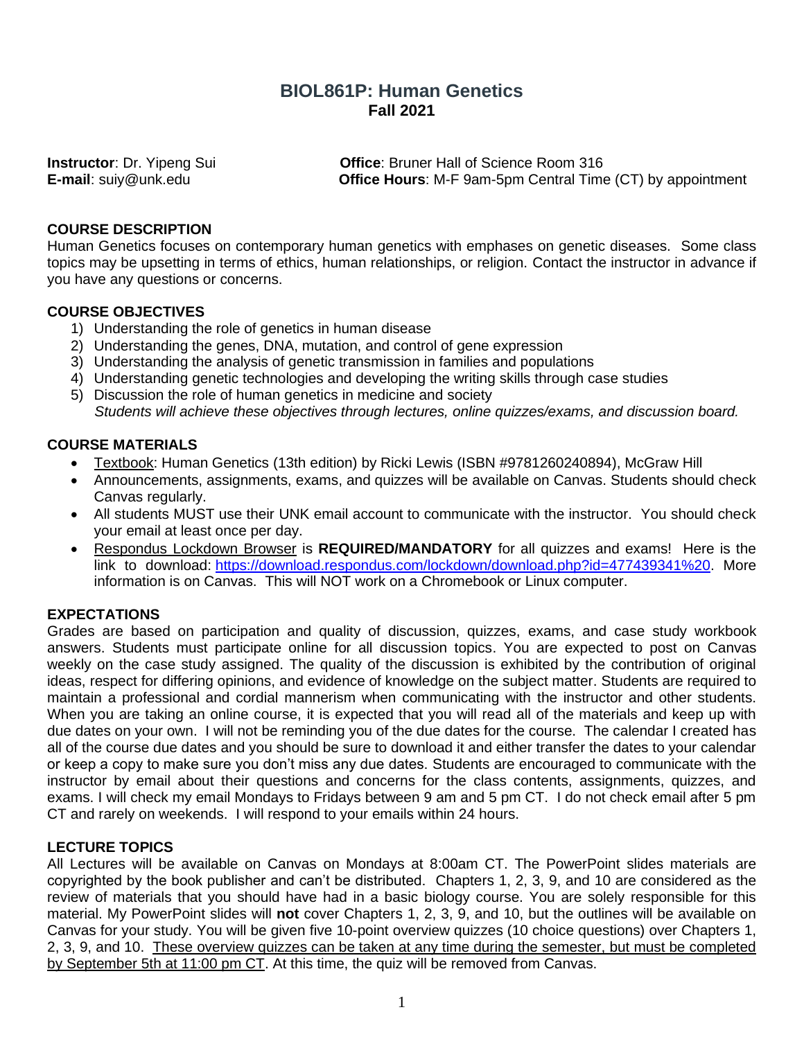# **BIOL861P: Human Genetics Fall 2021**

**Instructor**: Dr. Yipeng Sui **Office**: Bruner Hall of Science Room 316 **E-mail**: suiy@unk.edu **Office Hours**: M-F 9am-5pm Central Time (CT) by appointment

## **COURSE DESCRIPTION**

Human Genetics focuses on contemporary human genetics with emphases on genetic diseases. Some class topics may be upsetting in terms of ethics, human relationships, or religion. Contact the instructor in advance if you have any questions or concerns.

## **COURSE OBJECTIVES**

- 1) Understanding the role of genetics in human disease
- 2) Understanding the genes, DNA, mutation, and control of gene expression
- 3) Understanding the analysis of genetic transmission in families and populations
- 4) Understanding genetic technologies and developing the writing skills through case studies
- 5) Discussion the role of human genetics in medicine and society *Students will achieve these objectives through lectures, online quizzes/exams, and discussion board.*

## **COURSE MATERIALS**

- Textbook: Human Genetics (13th edition) by Ricki Lewis (ISBN #9781260240894), McGraw Hill
- Announcements, assignments, exams, and quizzes will be available on Canvas. Students should check Canvas regularly.
- All students MUST use their UNK email account to communicate with the instructor. You should check your email at least once per day.
- Respondus Lockdown Browser is **REQUIRED/MANDATORY** for all quizzes and exams! Here is the link to download: [https://download.respondus.com/lockdown/download.php?id=477439341%20.](https://download.respondus.com/lockdown/download.php?id=477439341%20) More information is on Canvas. This will NOT work on a Chromebook or Linux computer.

## **EXPECTATIONS**

Grades are based on participation and quality of discussion, quizzes, exams, and case study workbook answers. Students must participate online for all discussion topics. You are expected to post on Canvas weekly on the case study assigned. The quality of the discussion is exhibited by the contribution of original ideas, respect for differing opinions, and evidence of knowledge on the subject matter. Students are required to maintain a professional and cordial mannerism when communicating with the instructor and other students. When you are taking an online course, it is expected that you will read all of the materials and keep up with due dates on your own. I will not be reminding you of the due dates for the course. The calendar I created has all of the course due dates and you should be sure to download it and either transfer the dates to your calendar or keep a copy to make sure you don't miss any due dates. Students are encouraged to communicate with the instructor by email about their questions and concerns for the class contents, assignments, quizzes, and exams. I will check my email Mondays to Fridays between 9 am and 5 pm CT. I do not check email after 5 pm CT and rarely on weekends. I will respond to your emails within 24 hours.

### **LECTURE TOPICS**

All Lectures will be available on Canvas on Mondays at 8:00am CT. The PowerPoint slides materials are copyrighted by the book publisher and can't be distributed. Chapters 1, 2, 3, 9, and 10 are considered as the review of materials that you should have had in a basic biology course. You are solely responsible for this material. My PowerPoint slides will **not** cover Chapters 1, 2, 3, 9, and 10, but the outlines will be available on Canvas for your study. You will be given five 10-point overview quizzes (10 choice questions) over Chapters 1, 2, 3, 9, and 10. These overview quizzes can be taken at any time during the semester, but must be completed by September 5th at 11:00 pm CT. At this time, the quiz will be removed from Canvas.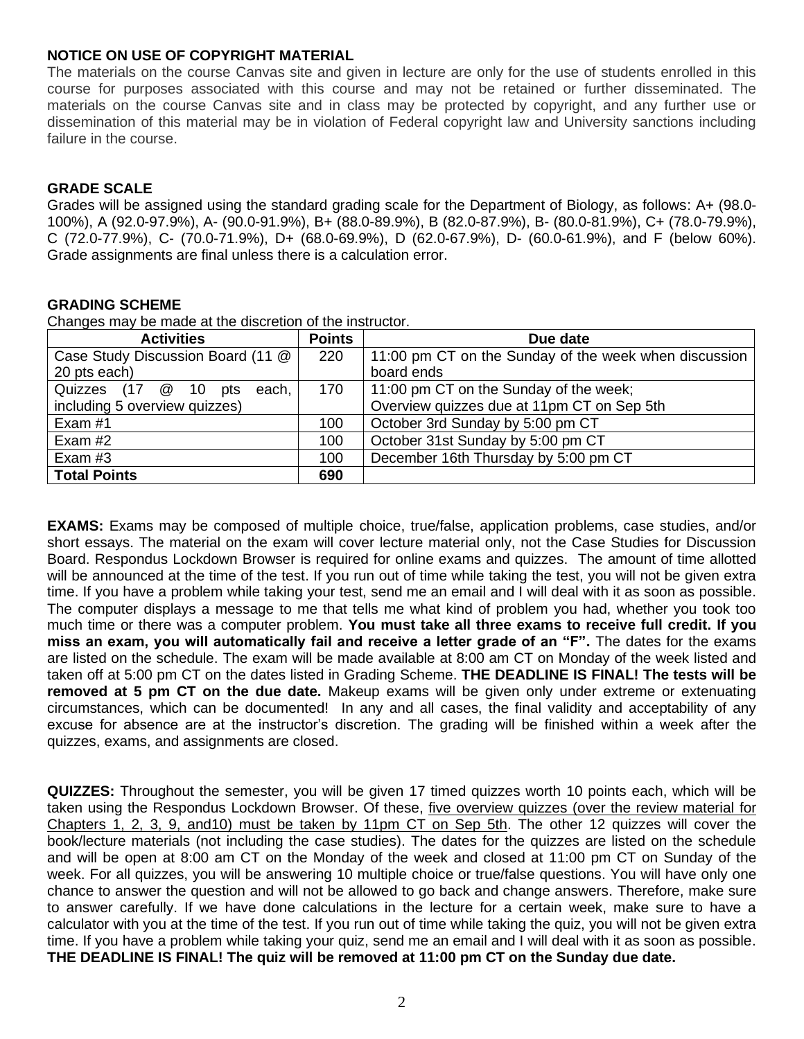## **NOTICE ON USE OF COPYRIGHT MATERIAL**

The materials on the course Canvas site and given in lecture are only for the use of students enrolled in this course for purposes associated with this course and may not be retained or further disseminated. The materials on the course Canvas site and in class may be protected by copyright, and any further use or dissemination of this material may be in violation of Federal copyright law and University sanctions including failure in the course.

## **GRADE SCALE**

Grades will be assigned using the standard grading scale for the Department of Biology, as follows: A+ (98.0- 100%), A (92.0-97.9%), A- (90.0-91.9%), B+ (88.0-89.9%), B (82.0-87.9%), B- (80.0-81.9%), C+ (78.0-79.9%), C (72.0-77.9%), C- (70.0-71.9%), D+ (68.0-69.9%), D (62.0-67.9%), D- (60.0-61.9%), and F (below 60%). Grade assignments are final unless there is a calculation error.

## **GRADING SCHEME**

Changes may be made at the discretion of the instructor.

| <b>Activities</b>                 | <b>Points</b> | Due date                                              |  |
|-----------------------------------|---------------|-------------------------------------------------------|--|
| Case Study Discussion Board (11 @ | 220           | 11:00 pm CT on the Sunday of the week when discussion |  |
| 20 pts each)                      |               | board ends                                            |  |
| Quizzes (17 @ 10<br>each,<br>pts  | 170           | 11:00 pm CT on the Sunday of the week;                |  |
| including 5 overview quizzes)     |               | Overview quizzes due at 11pm CT on Sep 5th            |  |
| Exam $#1$                         | 100           | October 3rd Sunday by 5:00 pm CT                      |  |
| Exam $#2$                         | 100           | October 31st Sunday by 5:00 pm CT                     |  |
| Exam $#3$                         | 100           | December 16th Thursday by 5:00 pm CT                  |  |
| <b>Total Points</b>               | 690           |                                                       |  |

**EXAMS:** Exams may be composed of multiple choice, true/false, application problems, case studies, and/or short essays. The material on the exam will cover lecture material only, not the Case Studies for Discussion Board. Respondus Lockdown Browser is required for online exams and quizzes. The amount of time allotted will be announced at the time of the test. If you run out of time while taking the test, you will not be given extra time. If you have a problem while taking your test, send me an email and I will deal with it as soon as possible. The computer displays a message to me that tells me what kind of problem you had, whether you took too much time or there was a computer problem. **You must take all three exams to receive full credit. If you miss an exam, you will automatically fail and receive a letter grade of an "F".** The dates for the exams are listed on the schedule. The exam will be made available at 8:00 am CT on Monday of the week listed and taken off at 5:00 pm CT on the dates listed in Grading Scheme. **THE DEADLINE IS FINAL! The tests will be removed at 5 pm CT on the due date.** Makeup exams will be given only under extreme or extenuating circumstances, which can be documented! In any and all cases, the final validity and acceptability of any excuse for absence are at the instructor's discretion. The grading will be finished within a week after the quizzes, exams, and assignments are closed.

**QUIZZES:** Throughout the semester, you will be given 17 timed quizzes worth 10 points each, which will be taken using the Respondus Lockdown Browser. Of these, five overview quizzes (over the review material for Chapters 1, 2, 3, 9, and10) must be taken by 11pm CT on Sep 5th. The other 12 quizzes will cover the book/lecture materials (not including the case studies). The dates for the quizzes are listed on the schedule and will be open at 8:00 am CT on the Monday of the week and closed at 11:00 pm CT on Sunday of the week. For all quizzes, you will be answering 10 multiple choice or true/false questions. You will have only one chance to answer the question and will not be allowed to go back and change answers. Therefore, make sure to answer carefully. If we have done calculations in the lecture for a certain week, make sure to have a calculator with you at the time of the test. If you run out of time while taking the quiz, you will not be given extra time. If you have a problem while taking your quiz, send me an email and I will deal with it as soon as possible. **THE DEADLINE IS FINAL! The quiz will be removed at 11:00 pm CT on the Sunday due date.**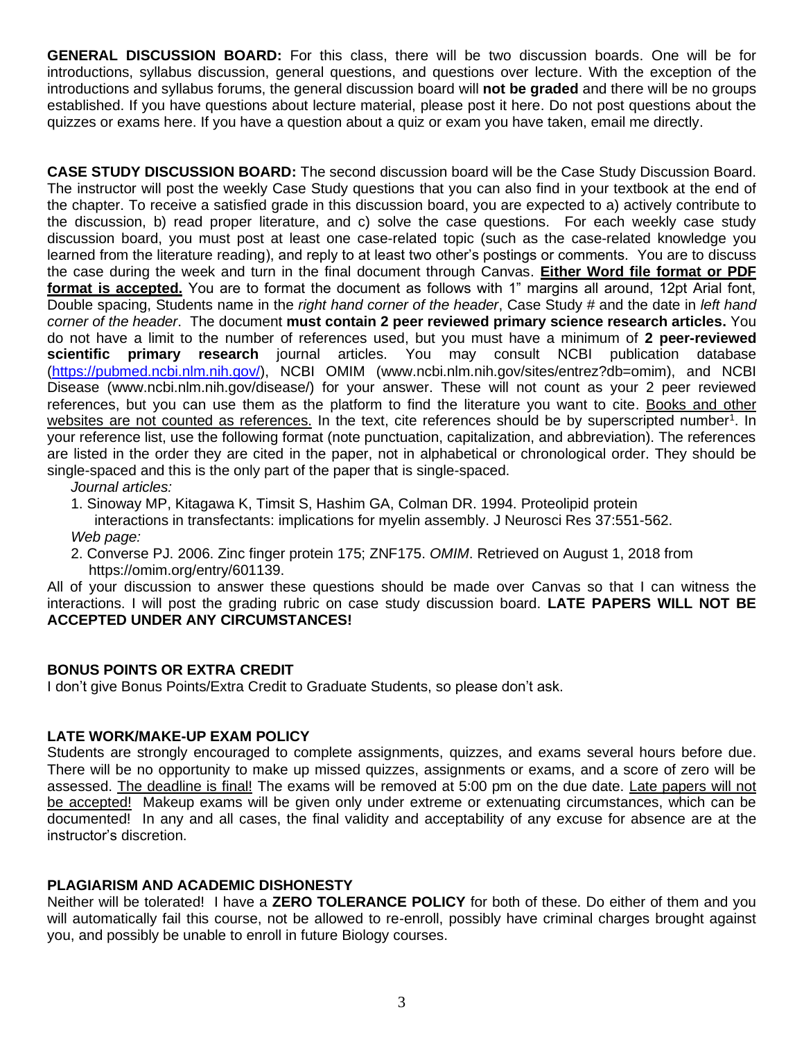**GENERAL DISCUSSION BOARD:** For this class, there will be two discussion boards. One will be for introductions, syllabus discussion, general questions, and questions over lecture. With the exception of the introductions and syllabus forums, the general discussion board will **not be graded** and there will be no groups established. If you have questions about lecture material, please post it here. Do not post questions about the quizzes or exams here. If you have a question about a quiz or exam you have taken, email me directly.

**CASE STUDY DISCUSSION BOARD:** The second discussion board will be the Case Study Discussion Board. The instructor will post the weekly Case Study questions that you can also find in your textbook at the end of the chapter. To receive a satisfied grade in this discussion board, you are expected to a) actively contribute to the discussion, b) read proper literature, and c) solve the case questions. For each weekly case study discussion board, you must post at least one case-related topic (such as the case-related knowledge you learned from the literature reading), and reply to at least two other's postings or comments. You are to discuss the case during the week and turn in the final document through Canvas. **Either Word file format or PDF format is accepted.** You are to format the document as follows with 1" margins all around, 12pt Arial font, Double spacing, Students name in the *right hand corner of the header*, Case Study # and the date in *left hand corner of the header*. The document **must contain 2 peer reviewed primary science research articles.** You do not have a limit to the number of references used, but you must have a minimum of **2 peer-reviewed scientific primary research** journal articles. You may consult NCBI publication database [\(https://pubmed.ncbi.nlm.nih.gov/\)](https://pubmed.ncbi.nlm.nih.gov/), NCBI OMIM [\(www.ncbi.nlm.nih.gov/sites/entrez?db=omim\)](http://www.ncbi.nlm.nih.gov/sites/entrez?db=omim), and NCBI Disease [\(www.ncbi.nlm.nih.gov/disease/\)](http://www.ncbi.nlm.nih.gov/disease/) for your answer. These will not count as your 2 peer reviewed references, but you can use them as the platform to find the literature you want to cite. Books and other websites are not counted as references. In the text, cite references should be by superscripted number<sup>1</sup>. In your reference list, use the following format (note punctuation, capitalization, and abbreviation). The references are listed in the order they are cited in the paper, not in alphabetical or chronological order. They should be single-spaced and this is the only part of the paper that is single-spaced.

*Journal articles:*

- 1. Sinoway MP, Kitagawa K, Timsit S, Hashim GA, Colman DR. 1994. Proteolipid protein
- interactions in transfectants: implications for myelin assembly. J Neurosci Res 37:551-562.
- *Web page:*
- 2. Converse PJ. 2006. Zinc finger protein 175; ZNF175. *OMIM*. Retrieved on August 1, 2018 from https://omim.org/entry/601139.

All of your discussion to answer these questions should be made over Canvas so that I can witness the interactions. I will post the grading rubric on case study discussion board. **LATE PAPERS WILL NOT BE ACCEPTED UNDER ANY CIRCUMSTANCES!**

### **BONUS POINTS OR EXTRA CREDIT**

I don't give Bonus Points/Extra Credit to Graduate Students, so please don't ask.

## **LATE WORK/MAKE-UP EXAM POLICY**

Students are strongly encouraged to complete assignments, quizzes, and exams several hours before due. There will be no opportunity to make up missed quizzes, assignments or exams, and a score of zero will be assessed. The deadline is final! The exams will be removed at 5:00 pm on the due date. Late papers will not be accepted! Makeup exams will be given only under extreme or extenuating circumstances, which can be documented! In any and all cases, the final validity and acceptability of any excuse for absence are at the instructor's discretion.

### **PLAGIARISM AND ACADEMIC DISHONESTY**

Neither will be tolerated! I have a **ZERO TOLERANCE POLICY** for both of these. Do either of them and you will automatically fail this course, not be allowed to re-enroll, possibly have criminal charges brought against you, and possibly be unable to enroll in future Biology courses.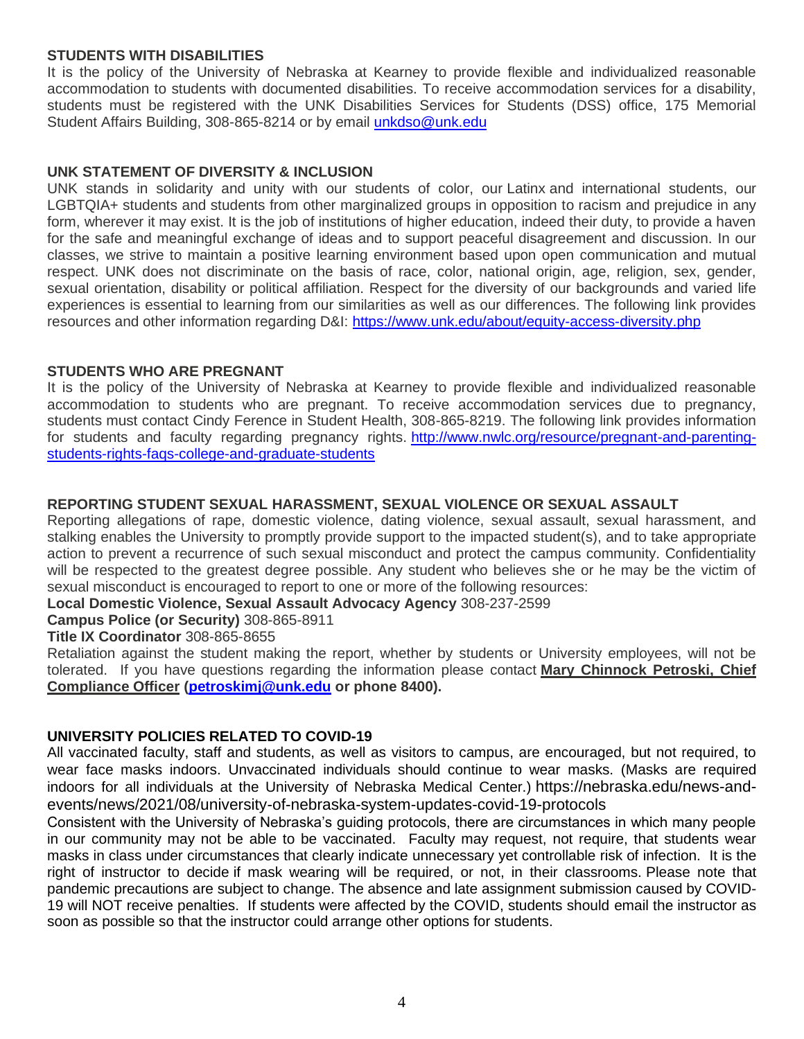### **STUDENTS WITH DISABILITIES**

It is the policy of the University of Nebraska at Kearney to provide flexible and individualized reasonable accommodation to students with documented disabilities. To receive accommodation services for a disability, students must be registered with the UNK Disabilities Services for Students (DSS) office, 175 Memorial Student Affairs Building, 308-865-8214 or by email *[unkdso@unk.edu](mailto:unkdso@unk.edu)* 

### **UNK STATEMENT OF DIVERSITY & INCLUSION**

UNK stands in solidarity and unity with our students of color, our Latinx and international students, our LGBTQIA+ students and students from other marginalized groups in opposition to racism and prejudice in any form, wherever it may exist. It is the job of institutions of higher education, indeed their duty, to provide a haven for the safe and meaningful exchange of ideas and to support peaceful disagreement and discussion. In our classes, we strive to maintain a positive learning environment based upon open communication and mutual respect. UNK does not discriminate on the basis of race, color, national origin, age, religion, sex, gender, sexual orientation, disability or political affiliation. Respect for the diversity of our backgrounds and varied life experiences is essential to learning from our similarities as well as our differences. The following link provides resources and other information regarding D&I: <https://www.unk.edu/about/equity-access-diversity.php>

## **STUDENTS WHO ARE PREGNANT**

It is the policy of the University of Nebraska at Kearney to provide flexible and individualized reasonable accommodation to students who are pregnant. To receive accommodation services due to pregnancy, students must contact Cindy Ference in Student Health, 308-865-8219. The following link provides information for students and faculty regarding pregnancy rights. [http://www.nwlc.org/resource/pregnant-and-parenting](https://urldefense.proofpoint.com/v2/url?u=http-3A__www.nwlc.org_resource_pregnant-2Dand-2Dparenting-2Dstudents-2Drights-2Dfaqs-2Dcollege-2Dand-2Dgraduate-2Dstudents&d=DwMFAg&c=Cu5g146wZdoqVuKpTNsYHeFX_rg6kWhlkLF8Eft-wwo&r=BJkIhAaMtWY7PlqIhIOyVw&m=RgBL3s2VNHfvD5ReMK2q_PhwYU8dbEt1vxs1BO4WkpQ&s=MmB91XAzaW-E7UPMXPGx9tWJQbTWJYyYzM8gLjhEzQ0&e=)[students-rights-faqs-college-and-graduate-students](https://urldefense.proofpoint.com/v2/url?u=http-3A__www.nwlc.org_resource_pregnant-2Dand-2Dparenting-2Dstudents-2Drights-2Dfaqs-2Dcollege-2Dand-2Dgraduate-2Dstudents&d=DwMFAg&c=Cu5g146wZdoqVuKpTNsYHeFX_rg6kWhlkLF8Eft-wwo&r=BJkIhAaMtWY7PlqIhIOyVw&m=RgBL3s2VNHfvD5ReMK2q_PhwYU8dbEt1vxs1BO4WkpQ&s=MmB91XAzaW-E7UPMXPGx9tWJQbTWJYyYzM8gLjhEzQ0&e=)

## **REPORTING STUDENT SEXUAL HARASSMENT, SEXUAL VIOLENCE OR SEXUAL ASSAULT**

Reporting allegations of rape, domestic violence, dating violence, sexual assault, sexual harassment, and stalking enables the University to promptly provide support to the impacted student(s), and to take appropriate action to prevent a recurrence of such sexual misconduct and protect the campus community. Confidentiality will be respected to the greatest degree possible. Any student who believes she or he may be the victim of sexual misconduct is encouraged to report to one or more of the following resources:

**Local Domestic Violence, Sexual Assault Advocacy Agency** 308-237-2599

## **Campus Police (or Security)** 308-865-8911

## **Title IX Coordinator** 308-865-8655

Retaliation against the student making the report, whether by students or University employees, will not be tolerated. If you have questions regarding the information please contact **Mary Chinnock Petroski, Chief Compliance Officer [\(petroskimj@unk.edu](mailto:petroskimj@unk.edu) or phone 8400).**

## **UNIVERSITY POLICIES RELATED TO COVID-19**

All vaccinated faculty, staff and students, as well as visitors to campus, are encouraged, but not required, to wear face masks indoors. Unvaccinated individuals should continue to wear masks. (Masks are required indoors for all individuals at the University of Nebraska Medical Center.) [https://nebraska.edu/news-and](https://nebraska.edu/news-and-events/news/2021/08/university-of-nebraska-system-updates-covid-19-protocols)[events/news/2021/08/university-of-nebraska-system-updates-covid-19-protocols](https://nebraska.edu/news-and-events/news/2021/08/university-of-nebraska-system-updates-covid-19-protocols)

Consistent with the University of Nebraska's guiding protocols, there are circumstances in which many people in our community may not be able to be vaccinated. Faculty may request, not require, that students wear masks in class under circumstances that clearly indicate unnecessary yet controllable risk of infection. It is the right of instructor to decide if mask wearing will be required, or not, in their classrooms. Please note that pandemic precautions are subject to change. The absence and late assignment submission caused by COVID-19 will NOT receive penalties. If students were affected by the COVID, students should email the instructor as soon as possible so that the instructor could arrange other options for students.